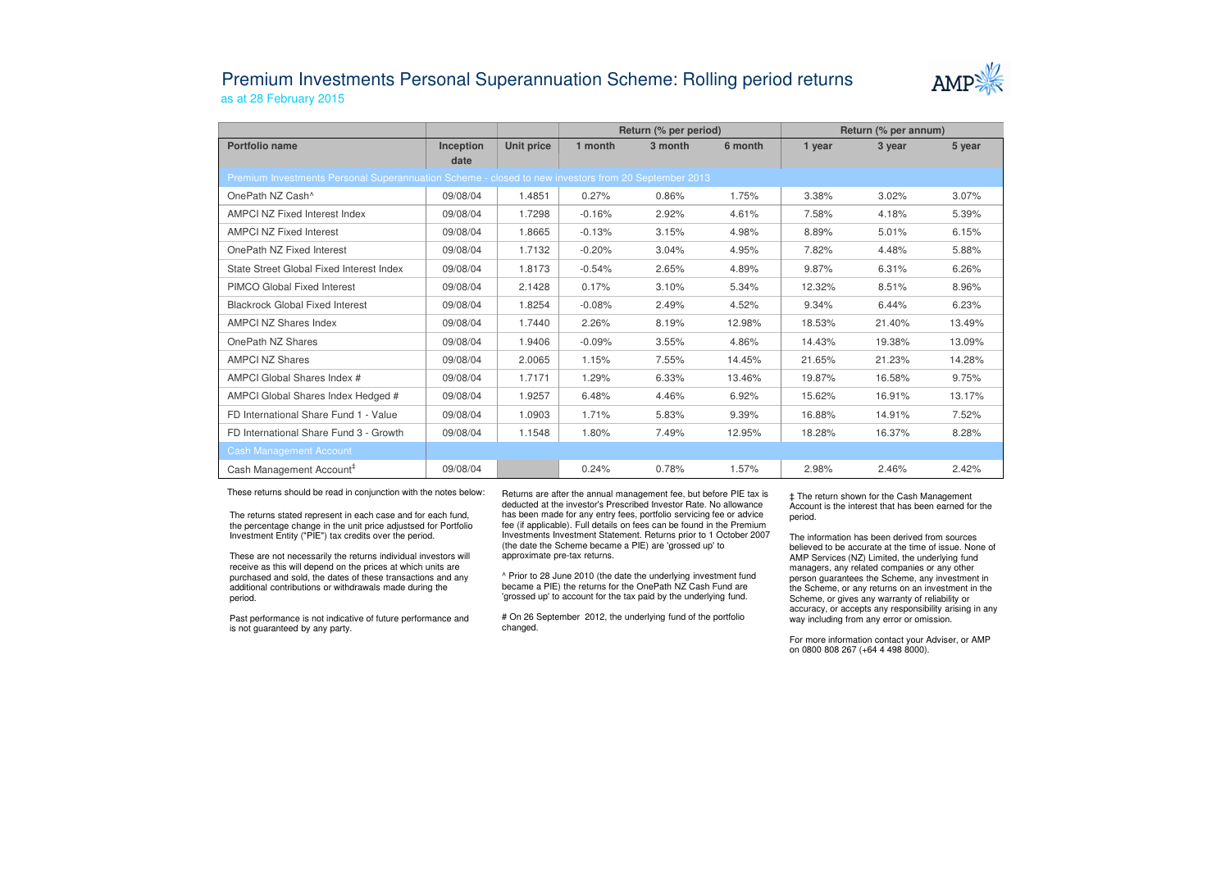## Premium Investments Personal Superannuation Scheme: Rolling period returnsas at 28 February 2015



|                                                                                                     |                   |            | Return (% per period) |         |         | Return (% per annum) |        |        |  |  |  |  |
|-----------------------------------------------------------------------------------------------------|-------------------|------------|-----------------------|---------|---------|----------------------|--------|--------|--|--|--|--|
| Portfolio name                                                                                      | Inception<br>date | Unit price | 1 month               | 3 month | 6 month | 1 year               | 3 year | 5 year |  |  |  |  |
| Premium Investments Personal Superannuation Scheme - closed to new investors from 20 September 2013 |                   |            |                       |         |         |                      |        |        |  |  |  |  |
| OnePath NZ Cash^                                                                                    | 09/08/04          | 1.4851     | 0.27%                 | 0.86%   | 1.75%   | 3.38%                | 3.02%  | 3.07%  |  |  |  |  |
| <b>AMPCI NZ Fixed Interest Index</b>                                                                | 09/08/04          | 1.7298     | $-0.16%$              | 2.92%   | 4.61%   | 7.58%                | 4.18%  | 5.39%  |  |  |  |  |
| <b>AMPCI NZ Fixed Interest</b>                                                                      | 09/08/04          | 1.8665     | $-0.13%$              | 3.15%   | 4.98%   | 8.89%                | 5.01%  | 6.15%  |  |  |  |  |
| OnePath NZ Fixed Interest                                                                           | 09/08/04          | 1.7132     | $-0.20%$              | 3.04%   | 4.95%   | 7.82%                | 4.48%  | 5.88%  |  |  |  |  |
| State Street Global Fixed Interest Index                                                            | 09/08/04          | 1.8173     | $-0.54%$              | 2.65%   | 4.89%   | 9.87%                | 6.31%  | 6.26%  |  |  |  |  |
| PIMCO Global Fixed Interest                                                                         | 09/08/04          | 2.1428     | 0.17%                 | 3.10%   | 5.34%   | 12.32%               | 8.51%  | 8.96%  |  |  |  |  |
| <b>Blackrock Global Fixed Interest</b>                                                              | 09/08/04          | 1.8254     | $-0.08%$              | 2.49%   | 4.52%   | 9.34%                | 6.44%  | 6.23%  |  |  |  |  |
| <b>AMPCI NZ Shares Index</b>                                                                        | 09/08/04          | 1.7440     | 2.26%                 | 8.19%   | 12.98%  | 18.53%               | 21.40% | 13.49% |  |  |  |  |
| OnePath NZ Shares                                                                                   | 09/08/04          | 1.9406     | $-0.09%$              | 3.55%   | 4.86%   | 14.43%               | 19.38% | 13.09% |  |  |  |  |
| <b>AMPCI NZ Shares</b>                                                                              | 09/08/04          | 2.0065     | 1.15%                 | 7.55%   | 14.45%  | 21.65%               | 21.23% | 14.28% |  |  |  |  |
| AMPCI Global Shares Index #                                                                         | 09/08/04          | 1.7171     | 1.29%                 | 6.33%   | 13.46%  | 19.87%               | 16.58% | 9.75%  |  |  |  |  |
| AMPCI Global Shares Index Hedged #                                                                  | 09/08/04          | 1.9257     | 6.48%                 | 4.46%   | 6.92%   | 15.62%               | 16.91% | 13.17% |  |  |  |  |
| FD International Share Fund 1 - Value                                                               | 09/08/04          | 1.0903     | 1.71%                 | 5.83%   | 9.39%   | 16.88%               | 14.91% | 7.52%  |  |  |  |  |
| FD International Share Fund 3 - Growth                                                              | 09/08/04          | 1.1548     | 1.80%                 | 7.49%   | 12.95%  | 18.28%               | 16.37% | 8.28%  |  |  |  |  |
| <b>Cash Management Account</b>                                                                      |                   |            |                       |         |         |                      |        |        |  |  |  |  |
| Cash Management Account <sup>#</sup>                                                                | 09/08/04          |            | 0.24%                 | 0.78%   | 1.57%   | 2.98%                | 2.46%  | 2.42%  |  |  |  |  |

These returns should be read in conjunction with the notes below:

The returns stated represent in each case and for each fund, the percentage change in the unit price adjustsed for Portfolio Investment Entity ("PIE") tax credits over the period.

These are not necessarily the returns individual investors will receive as this will depend on the prices at which units are purchased and sold, the dates of these transactions and any additional contributions or withdrawals made during the period.

Past performance is not indicative of future performance and is not guaranteed by any party.

Returns are after the annual management fee, but before PIE tax is deducted at the investor's Prescribed Investor Rate. No allowance has been made for any entry fees, portfolio servicing fee or advice fee (if applicable). Full details on fees can be found in the Premium Investments Investment Statement. Returns prior to 1 October 2007 (the date the Scheme became a PIE) are 'grossed up' to approximate pre-tax returns.

^ Prior to 28 June 2010 (the date the underlying investment fund became a PIE) the returns for the OnePath NZ Cash Fund are 'grossed up' to account for the tax paid by the underlying fund.

# On 26 September 2012, the underlying fund of the portfolio changed.

‡ The return shown for the Cash Management Account is the interest that has been earned for the period.

The information has been derived from sources believed to be accurate at the time of issue. None of AMP Services (NZ) Limited, the underlying fund managers, any related companies or any other person guarantees the Scheme, any investment in the Scheme, or any returns on an investment in the Scheme, or gives any warranty of reliability or accuracy, or accepts any responsibility arising in any way including from any error or omission.

For more information contact your Adviser, or AMP on 0800 808 267 (+64 4 498 8000).